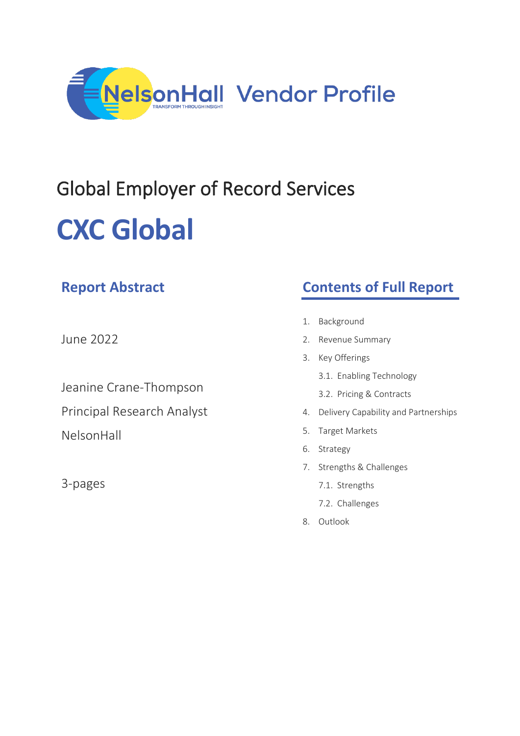

# Global Employer of Record Services **CXC Global**

| <b>Report Abstract</b>     |    | <b>Contents of Full Report</b>       |  |
|----------------------------|----|--------------------------------------|--|
|                            | 1. | Background                           |  |
| June 2022                  |    | 2. Revenue Summary                   |  |
|                            | 3. | Key Offerings                        |  |
| Jeanine Crane-Thompson     |    | 3.1. Enabling Technology             |  |
|                            |    | 3.2. Pricing & Contracts             |  |
| Principal Research Analyst | 4. | Delivery Capability and Partnerships |  |
| NelsonHall                 | 5. | Target Markets                       |  |
|                            | 6. | Strategy                             |  |
| 3-pages                    |    | 7. Strengths & Challenges            |  |
|                            |    | 7.1. Strengths                       |  |
|                            |    | 7.2. Challenges                      |  |
|                            | 8. | Outlook                              |  |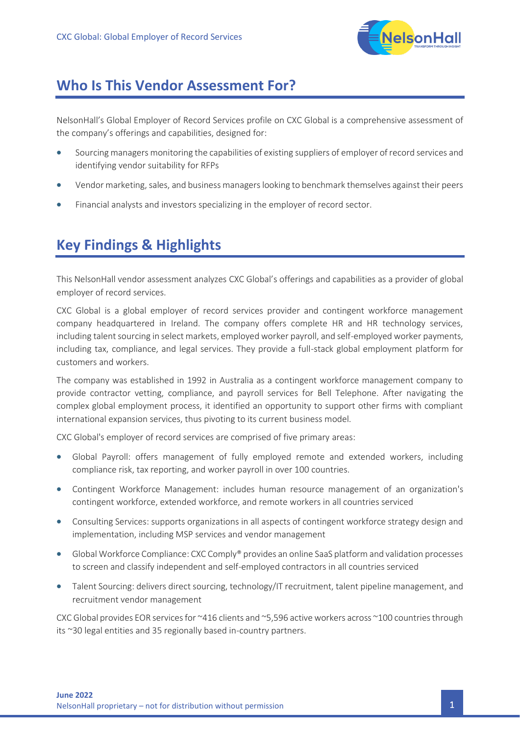

### **Who Is This Vendor Assessment For?**

NelsonHall's Global Employer of Record Services profile on CXC Global is a comprehensive assessment of the company's offerings and capabilities, designed for:

- Sourcing managers monitoring the capabilities of existing suppliers of employer of record services and identifying vendor suitability for RFPs
- Vendor marketing, sales, and business managers looking to benchmark themselves against their peers
- Financial analysts and investors specializing in the employer of record sector.

## **Key Findings & Highlights**

This NelsonHall vendor assessment analyzes CXC Global's offerings and capabilities as a provider of global employer of record services.

CXC Global is a global employer of record services provider and contingent workforce management company headquartered in Ireland. The company offers complete HR and HR technology services, including talent sourcing in select markets, employed worker payroll, and self-employed worker payments, including tax, compliance, and legal services. They provide a full-stack global employment platform for customers and workers.

The company was established in 1992 in Australia as a contingent workforce management company to provide contractor vetting, compliance, and payroll services for Bell Telephone. After navigating the complex global employment process, it identified an opportunity to support other firms with compliant international expansion services, thus pivoting to its current business model.

CXC Global's employer of record services are comprised of five primary areas:

- Global Payroll: offers management of fully employed remote and extended workers, including compliance risk, tax reporting, and worker payroll in over 100 countries.
- Contingent Workforce Management: includes human resource management of an organization's contingent workforce, extended workforce, and remote workers in all countries serviced
- Consulting Services: supports organizations in all aspects of contingent workforce strategy design and implementation, including MSP services and vendor management
- Global Workforce Compliance: CXC Comply® provides an online SaaS platform and validation processes to screen and classify independent and self-employed contractors in all countries serviced
- Talent Sourcing: delivers direct sourcing, technology/IT recruitment, talent pipeline management, and recruitment vendor management

CXC Global provides EOR services for ~416 clients and ~5,596 active workers across ~100 countries through its ~30 legal entities and 35 regionally based in-country partners.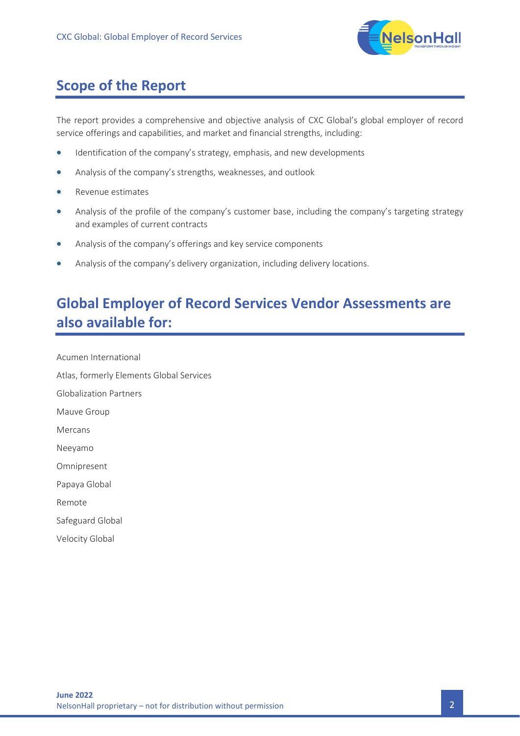

# **Scope of the Report**

The report provides a comprehensive and objective analysis of CXC Global's global employer of record service offerings and capabilities, and market and financial strengths, including:

- Identification of the company's strategy, emphasis, and new developments
- Analysis of the company's strengths, weaknesses, and outlook
- Revenue estimates
- Analysis of the profile of the company's customer base, including the company's targeting strategy and examples of current contracts
- Analysis of the company's offerings and key service components
- Analysis of the company's delivery organization, including delivery locations.

# **Global Employer of Record Services Vendor Assessments are also available for:**

Acumen International Atlas, formerly Elements Global Services Globalization Partners Mauve Group Mercans Neeyamo Omnipresent Papaya Global Remote Safeguard Global

Velocity Global